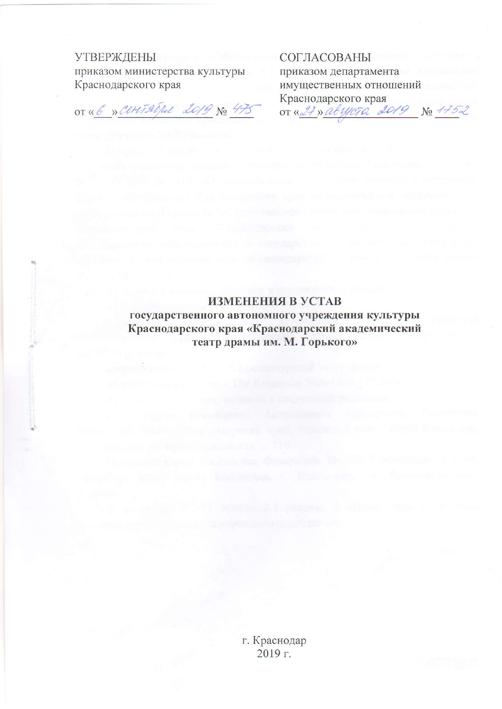## **УТВЕРЖДЕНЫ**

приказом министерства культуры Краснодарского края

OT « 6 » Ceret 20/be 2019 No 475

СОГЛАСОВАНЫ приказом департамента имущественных отношений Краснодарского края<br>от «<u>27» авууста 2019 № 175</u>2

ИЗМЕНЕНИЯ В УСТАВ

государственного автономного учреждения культуры Краснодарского края «Краснодарский академический театр драмы им. М. Горького»

> г. Краснодар 2019 г.